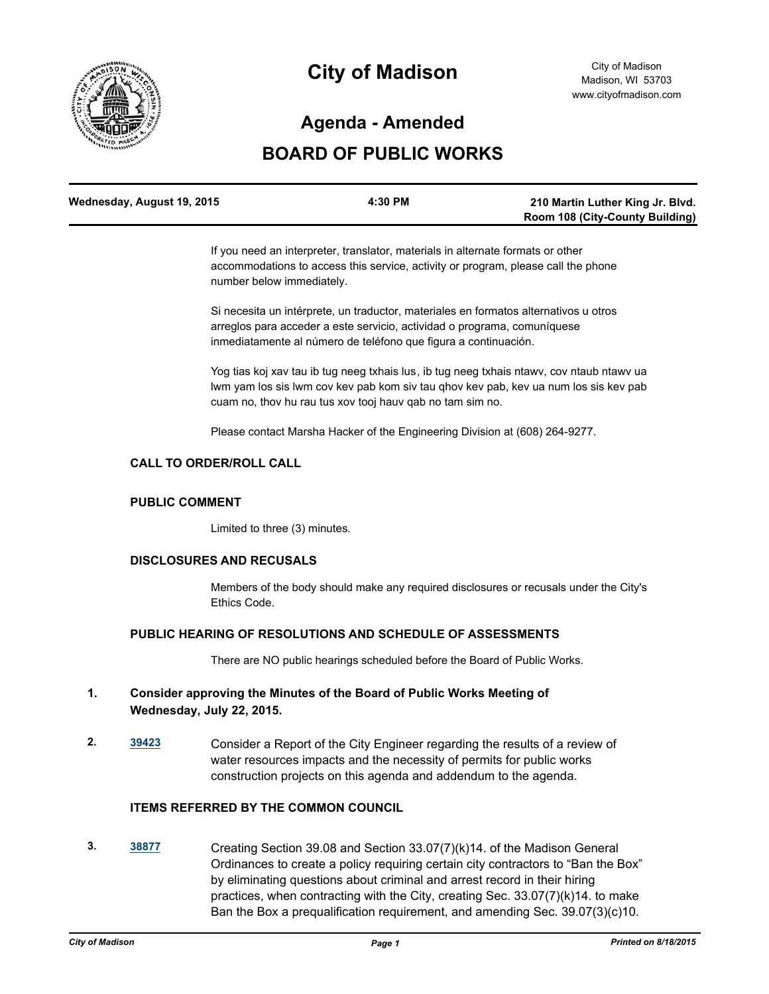

# **City of Madison**

### **Agenda - Amended**

## **BOARD OF PUBLIC WORKS**

| Wednesday, August 19, 2015 | 4:30 PM |                                        |
|----------------------------|---------|----------------------------------------|
|                            |         | <b>Room 108 (City-County Building)</b> |

If you need an interpreter, translator, materials in alternate formats or other accommodations to access this service, activity or program, please call the phone number below immediately.

Si necesita un intérprete, un traductor, materiales en formatos alternativos u otros arreglos para acceder a este servicio, actividad o programa, comuníquese inmediatamente al número de teléfono que figura a continuación.

Yog tias koj xav tau ib tug neeg txhais lus, ib tug neeg txhais ntawv, cov ntaub ntawv ua lwm yam los sis lwm cov kev pab kom siv tau qhov kev pab, kev ua num los sis kev pab cuam no, thov hu rau tus xov tooj hauv qab no tam sim no.

Please contact Marsha Hacker of the Engineering Division at (608) 264-9277.

#### **CALL TO ORDER/ROLL CALL**

#### **PUBLIC COMMENT**

Limited to three (3) minutes.

#### **DISCLOSURES AND RECUSALS**

Members of the body should make any required disclosures or recusals under the City's Ethics Code.

#### **PUBLIC HEARING OF RESOLUTIONS AND SCHEDULE OF ASSESSMENTS**

There are NO public hearings scheduled before the Board of Public Works.

#### **1. Consider approving the Minutes of the Board of Public Works Meeting of Wednesday, July 22, 2015.**

**2. [39423](http://madison.legistar.com/gateway.aspx?m=l&id=/matter.aspx?key=43001)** Consider a Report of the City Engineer regarding the results of a review of water resources impacts and the necessity of permits for public works construction projects on this agenda and addendum to the agenda.

#### **ITEMS REFERRED BY THE COMMON COUNCIL**

**3. [38877](http://madison.legistar.com/gateway.aspx?m=l&id=/matter.aspx?key=41511)** Creating Section 39.08 and Section 33.07(7)(k)14. of the Madison General Ordinances to create a policy requiring certain city contractors to "Ban the Box" by eliminating questions about criminal and arrest record in their hiring practices, when contracting with the City, creating Sec. 33.07(7)(k)14. to make Ban the Box a prequalification requirement, and amending Sec. 39.07(3)(c)10.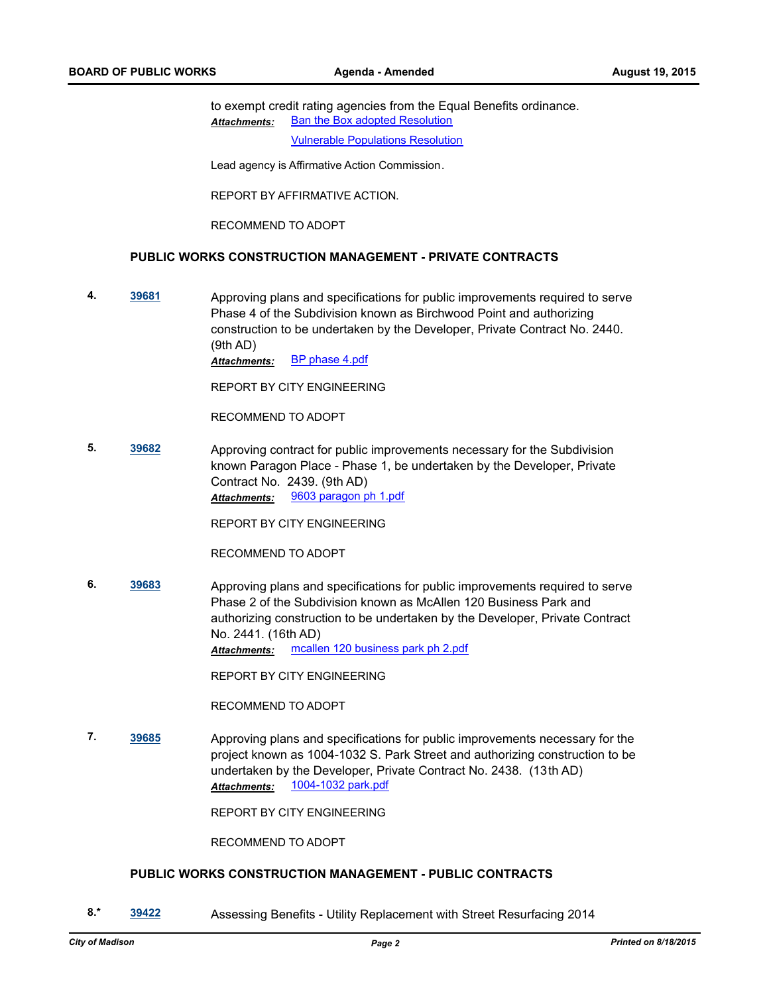to exempt credit rating agencies from the Equal Benefits ordinance. [Ban the Box adopted Resolution](http://madison.legistar.com/gateway.aspx?M=F&ID=05228230-17e4-4cf0-b37d-86b9bfb9f040.pdf) [Vulnerable Populations Resolution](http://madison.legistar.com/gateway.aspx?M=F&ID=ecba0260-4cca-48bb-85c3-fd9169699a6a.pdf) *Attachments:*

Lead agency is Affirmative Action Commission.

REPORT BY AFFIRMATIVE ACTION.

RECOMMEND TO ADOPT

#### **PUBLIC WORKS CONSTRUCTION MANAGEMENT - PRIVATE CONTRACTS**

**4. [39681](http://madison.legistar.com/gateway.aspx?m=l&id=/matter.aspx?key=43247)** Approving plans and specifications for public improvements required to serve Phase 4 of the Subdivision known as Birchwood Point and authorizing construction to be undertaken by the Developer, Private Contract No. 2440. (9th AD)

*Attachments:* [BP phase 4.pdf](http://madison.legistar.com/gateway.aspx?M=F&ID=39efb299-ce45-4c48-b2c9-fd640a8315b2.pdf)

REPORT BY CITY ENGINEERING

RECOMMEND TO ADOPT

**5. [39682](http://madison.legistar.com/gateway.aspx?m=l&id=/matter.aspx?key=43248)** Approving contract for public improvements necessary for the Subdivision known Paragon Place - Phase 1, be undertaken by the Developer, Private Contract No. 2439. (9th AD) *Attachments:* [9603 paragon ph 1.pdf](http://madison.legistar.com/gateway.aspx?M=F&ID=ffd3f539-6660-4fd1-b556-fb52779ad699.pdf)

REPORT BY CITY ENGINEERING

RECOMMEND TO ADOPT

**6. [39683](http://madison.legistar.com/gateway.aspx?m=l&id=/matter.aspx?key=43249)** Approving plans and specifications for public improvements required to serve Phase 2 of the Subdivision known as McAllen 120 Business Park and authorizing construction to be undertaken by the Developer, Private Contract No. 2441. (16th AD) *Attachments:* [mcallen 120 business park ph 2.pdf](http://madison.legistar.com/gateway.aspx?M=F&ID=32e65ee6-bb6e-40fa-9077-576e6563ae36.pdf)

REPORT BY CITY ENGINEERING

RECOMMEND TO ADOPT

**7. [39685](http://madison.legistar.com/gateway.aspx?m=l&id=/matter.aspx?key=43251)** Approving plans and specifications for public improvements necessary for the project known as 1004-1032 S. Park Street and authorizing construction to be undertaken by the Developer, Private Contract No. 2438. (13th AD) *Attachments:* [1004-1032 park.pdf](http://madison.legistar.com/gateway.aspx?M=F&ID=2e0077be-13b7-4618-95a8-873d2afbd511.pdf)

REPORT BY CITY ENGINEERING

RECOMMEND TO ADOPT

#### **PUBLIC WORKS CONSTRUCTION MANAGEMENT - PUBLIC CONTRACTS**

**8.\* [39422](http://madison.legistar.com/gateway.aspx?m=l&id=/matter.aspx?key=43000)** Assessing Benefits - Utility Replacement with Street Resurfacing 2014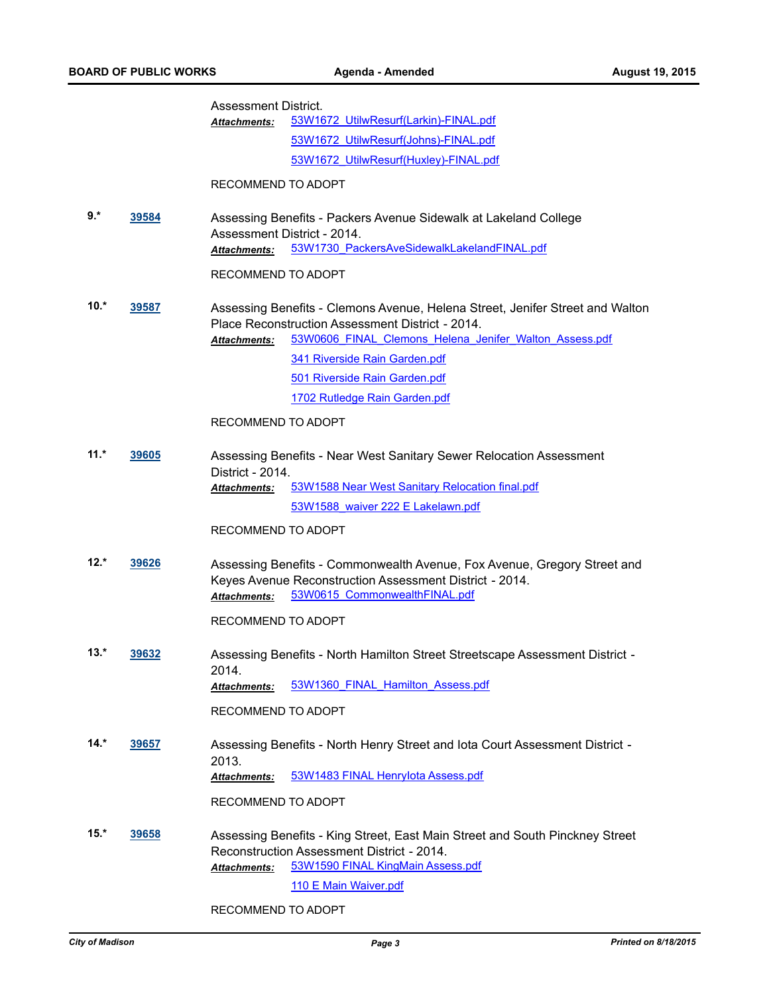|        | <b>BOARD OF PUBLIC WORKS</b> |                      | Agenda - Amended                                                                                                                                                     | <b>August 19, 2015</b> |
|--------|------------------------------|----------------------|----------------------------------------------------------------------------------------------------------------------------------------------------------------------|------------------------|
|        |                              | Assessment District. |                                                                                                                                                                      |                        |
|        |                              | <b>Attachments:</b>  | 53W1672 UtilwResurf(Larkin)-FINAL.pdf                                                                                                                                |                        |
|        |                              |                      | 53W1672 UtilwResurf(Johns)-FINAL.pdf                                                                                                                                 |                        |
|        |                              |                      | 53W1672 UtilwResurf(Huxley)-FINAL.pdf                                                                                                                                |                        |
|        |                              | RECOMMEND TO ADOPT   |                                                                                                                                                                      |                        |
| $9.*$  | 39584                        | Attachments:         | Assessing Benefits - Packers Avenue Sidewalk at Lakeland College<br>Assessment District - 2014.<br>53W1730 PackersAveSidewalkLakelandFINAL.pdf                       |                        |
|        |                              |                      |                                                                                                                                                                      |                        |
|        |                              | RECOMMEND TO ADOPT   |                                                                                                                                                                      |                        |
| $10.*$ | 39587                        |                      | Assessing Benefits - Clemons Avenue, Helena Street, Jenifer Street and Walton<br>Place Reconstruction Assessment District - 2014.                                    |                        |
|        |                              | Attachments:         | 53W0606 FINAL Clemons Helena Jenifer Walton Assess.pdf                                                                                                               |                        |
|        |                              |                      | 341 Riverside Rain Garden.pdf                                                                                                                                        |                        |
|        |                              |                      | 501 Riverside Rain Garden.pdf                                                                                                                                        |                        |
|        |                              |                      | 1702 Rutledge Rain Garden.pdf                                                                                                                                        |                        |
|        |                              | RECOMMEND TO ADOPT   |                                                                                                                                                                      |                        |
| $11.*$ | <u>39605</u>                 | District - 2014.     | Assessing Benefits - Near West Sanitary Sewer Relocation Assessment                                                                                                  |                        |
|        |                              | <b>Attachments:</b>  | 53W1588 Near West Sanitary Relocation final.pdf                                                                                                                      |                        |
|        |                              |                      | 53W1588 waiver 222 E Lakelawn.pdf                                                                                                                                    |                        |
|        |                              | RECOMMEND TO ADOPT   |                                                                                                                                                                      |                        |
| $12.*$ | 39626                        | Attachments:         | Assessing Benefits - Commonwealth Avenue, Fox Avenue, Gregory Street and<br>Keyes Avenue Reconstruction Assessment District - 2014.<br>53W0615 CommonwealthFINAL.pdf |                        |
|        |                              | RECOMMEND TO ADOPT   |                                                                                                                                                                      |                        |
| $13.*$ | 39632                        | 2014.                | Assessing Benefits - North Hamilton Street Streetscape Assessment District -                                                                                         |                        |
|        |                              | Attachments:         | 53W1360 FINAL Hamilton Assess.pdf                                                                                                                                    |                        |
|        |                              | RECOMMEND TO ADOPT   |                                                                                                                                                                      |                        |
| $14.*$ | 39657                        | 2013.                | Assessing Benefits - North Henry Street and lota Court Assessment District -                                                                                         |                        |
|        |                              | Attachments:         | 53W1483 FINAL Henrylota Assess.pdf                                                                                                                                   |                        |
|        |                              | RECOMMEND TO ADOPT   |                                                                                                                                                                      |                        |
| $15.*$ | 39658                        |                      | Assessing Benefits - King Street, East Main Street and South Pinckney Street                                                                                         |                        |
|        |                              |                      | Reconstruction Assessment District - 2014.                                                                                                                           |                        |
|        |                              | <b>Attachments:</b>  | 53W1590 FINAL KingMain Assess.pdf                                                                                                                                    |                        |
|        |                              |                      | 110 E Main Waiver.pdf                                                                                                                                                |                        |

RECOMMEND TO ADOPT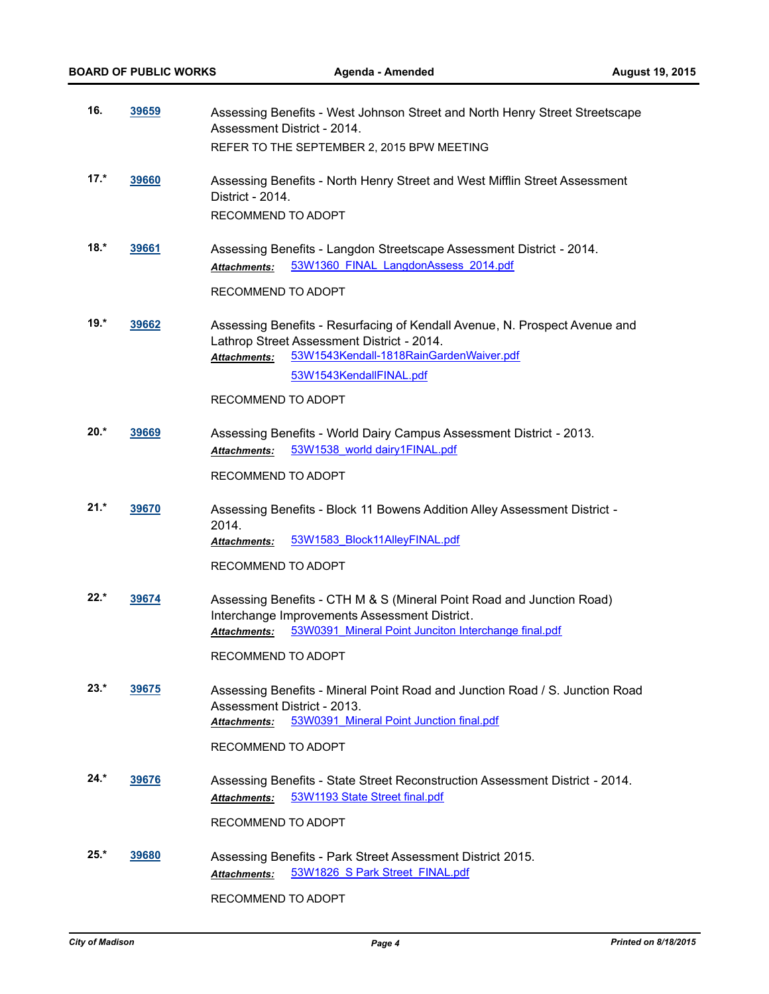| 16.    | 39659        | Assessing Benefits - West Johnson Street and North Henry Street Streetscape<br>Assessment District - 2014.                                                                                     |  |
|--------|--------------|------------------------------------------------------------------------------------------------------------------------------------------------------------------------------------------------|--|
|        |              | REFER TO THE SEPTEMBER 2, 2015 BPW MEETING                                                                                                                                                     |  |
| $17.*$ | 39660        | Assessing Benefits - North Henry Street and West Mifflin Street Assessment<br>District - 2014.<br>RECOMMEND TO ADOPT                                                                           |  |
| $18.*$ | 39661        | Assessing Benefits - Langdon Streetscape Assessment District - 2014.<br>53W1360 FINAL LangdonAssess 2014.pdf<br>Attachments:                                                                   |  |
|        |              | RECOMMEND TO ADOPT                                                                                                                                                                             |  |
| $19.*$ | 39662        | Assessing Benefits - Resurfacing of Kendall Avenue, N. Prospect Avenue and<br>Lathrop Street Assessment District - 2014.<br>53W1543Kendall-1818RainGardenWaiver.pdf<br>Attachments:            |  |
|        |              | 53W1543KendallFINAL.pdf                                                                                                                                                                        |  |
|        |              | RECOMMEND TO ADOPT                                                                                                                                                                             |  |
| $20.*$ | 39669        | Assessing Benefits - World Dairy Campus Assessment District - 2013.                                                                                                                            |  |
|        |              | 53W1538 world dairy1FINAL.pdf<br><b>Attachments:</b>                                                                                                                                           |  |
|        |              | RECOMMEND TO ADOPT                                                                                                                                                                             |  |
| $21.*$ | 39670        | Assessing Benefits - Block 11 Bowens Addition Alley Assessment District -<br>2014.                                                                                                             |  |
|        |              | 53W1583 Block11AlleyFINAL.pdf<br><b>Attachments:</b>                                                                                                                                           |  |
|        |              | RECOMMEND TO ADOPT                                                                                                                                                                             |  |
| $22.*$ | 39674        | Assessing Benefits - CTH M & S (Mineral Point Road and Junction Road)<br>Interchange Improvements Assessment District.<br>53W0391 Mineral Point Junciton Interchange final.pdf<br>Attachments: |  |
|        |              | RECOMMEND TO ADOPT                                                                                                                                                                             |  |
| $23.*$ | <u>39675</u> | Assessing Benefits - Mineral Point Road and Junction Road / S. Junction Road<br>Assessment District - 2013.<br>53W0391 Mineral Point Junction final.pdf<br><b>Attachments:</b>                 |  |
|        |              | RECOMMEND TO ADOPT                                                                                                                                                                             |  |
| 24.*   |              |                                                                                                                                                                                                |  |
|        | <u>39676</u> | Assessing Benefits - State Street Reconstruction Assessment District - 2014.<br>53W1193 State Street final.pdf<br>Attachments:                                                                 |  |
|        |              | RECOMMEND TO ADOPT                                                                                                                                                                             |  |
| $25.*$ | 39680        | Assessing Benefits - Park Street Assessment District 2015.<br>53W1826 S Park Street FINAL.pdf<br>Attachments:                                                                                  |  |
|        |              | RECOMMEND TO ADOPT                                                                                                                                                                             |  |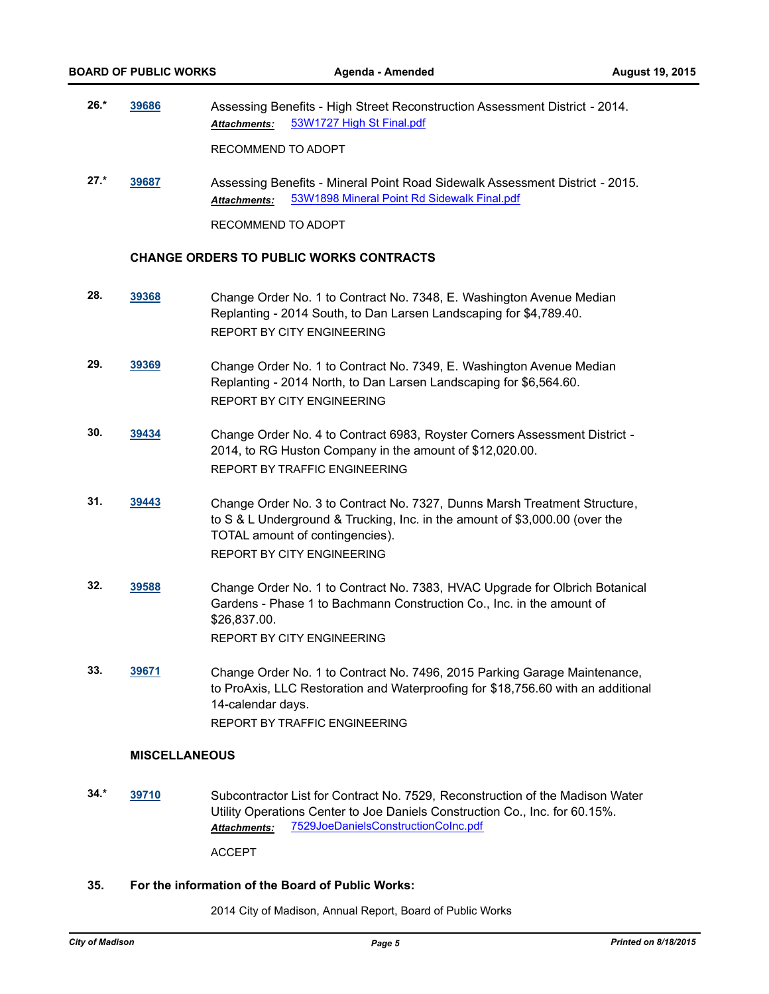**26.\* [39686](http://madison.legistar.com/gateway.aspx?m=l&id=/matter.aspx?key=43252)** Assessing Benefits - High Street Reconstruction Assessment District - 2014. *Attachments:* [53W1727 High St Final.pdf](http://madison.legistar.com/gateway.aspx?M=F&ID=5c762ac4-864f-42fb-bdd7-06831db5ae25.pdf)

RECOMMEND TO ADOPT

**27.\* [39687](http://madison.legistar.com/gateway.aspx?m=l&id=/matter.aspx?key=43253)** Assessing Benefits - Mineral Point Road Sidewalk Assessment District - 2015. *Attachments:* [53W1898 Mineral Point Rd Sidewalk Final.pdf](http://madison.legistar.com/gateway.aspx?M=F&ID=56e187ef-ea53-4d62-ac6a-1553aab30047.pdf)

RECOMMEND TO ADOPT

#### **CHANGE ORDERS TO PUBLIC WORKS CONTRACTS**

- **28. [39368](http://madison.legistar.com/gateway.aspx?m=l&id=/matter.aspx?key=42948)** Change Order No. 1 to Contract No. 7348, E. Washington Avenue Median Replanting - 2014 South, to Dan Larsen Landscaping for \$4,789.40. REPORT BY CITY ENGINEERING
- **29. [39369](http://madison.legistar.com/gateway.aspx?m=l&id=/matter.aspx?key=42949)** Change Order No. 1 to Contract No. 7349, E. Washington Avenue Median Replanting - 2014 North, to Dan Larsen Landscaping for \$6,564.60. REPORT BY CITY ENGINEERING
- **30. [39434](http://madison.legistar.com/gateway.aspx?m=l&id=/matter.aspx?key=43012)** Change Order No. 4 to Contract 6983, Royster Corners Assessment District 2014, to RG Huston Company in the amount of \$12,020.00. REPORT BY TRAFFIC ENGINEERING
- **31. [39443](http://madison.legistar.com/gateway.aspx?m=l&id=/matter.aspx?key=43021)** Change Order No. 3 to Contract No. 7327, Dunns Marsh Treatment Structure, to S & L Underground & Trucking, Inc. in the amount of \$3,000.00 (over the TOTAL amount of contingencies). REPORT BY CITY ENGINEERING
- **32. [39588](http://madison.legistar.com/gateway.aspx?m=l&id=/matter.aspx?key=43156)** Change Order No. 1 to Contract No. 7383, HVAC Upgrade for Olbrich Botanical Gardens - Phase 1 to Bachmann Construction Co., Inc. in the amount of \$26,837.00. REPORT BY CITY ENGINEERING
- **33. [39671](http://madison.legistar.com/gateway.aspx?m=l&id=/matter.aspx?key=43237)** Change Order No. 1 to Contract No. 7496, 2015 Parking Garage Maintenance, to ProAxis, LLC Restoration and Waterproofing for \$18,756.60 with an additional 14-calendar days. REPORT BY TRAFFIC ENGINEERING

#### **MISCELLANEOUS**

**34.\* [39710](http://madison.legistar.com/gateway.aspx?m=l&id=/matter.aspx?key=43270)** Subcontractor List for Contract No. 7529, Reconstruction of the Madison Water Utility Operations Center to Joe Daniels Construction Co., Inc. for 60.15%. *Attachments:* [7529JoeDanielsConstructionCoInc.pdf](http://madison.legistar.com/gateway.aspx?M=F&ID=7be24eac-b73c-48f5-b0d0-d67ca0a27344.pdf)

ACCEPT

#### **35. For the information of the Board of Public Works:**

2014 City of Madison, Annual Report, Board of Public Works